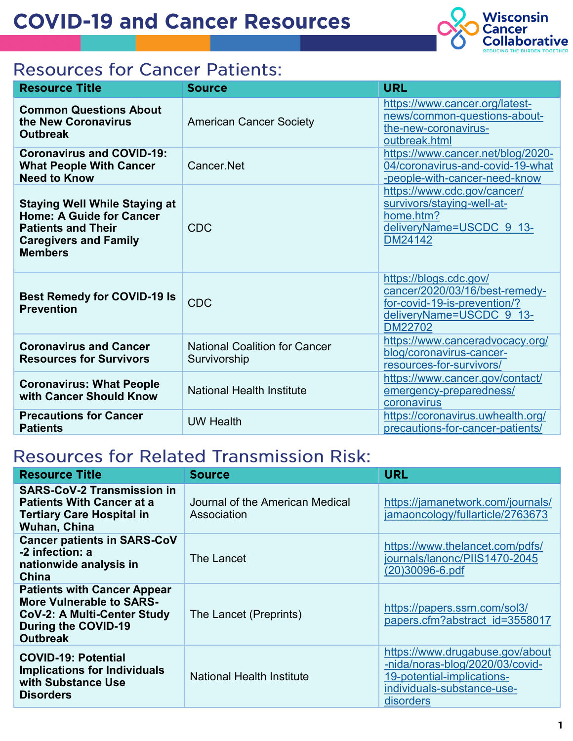

# **Resources for Cancer Patients:**

| <b>Resource Title</b>                                                                                                                                  | <b>Source</b>                                        | <b>URL</b>                                                                                                                             |
|--------------------------------------------------------------------------------------------------------------------------------------------------------|------------------------------------------------------|----------------------------------------------------------------------------------------------------------------------------------------|
| <b>Common Questions About</b><br>the New Coronavirus<br><b>Outbreak</b>                                                                                | <b>American Cancer Society</b>                       | https://www.cancer.org/latest-<br>news/common-questions-about-<br>the-new-coronavirus-<br>outbreak.html                                |
| <b>Coronavirus and COVID-19:</b><br><b>What People With Cancer</b><br><b>Need to Know</b>                                                              | Cancer Net                                           | https://www.cancer.net/blog/2020-<br>04/coronavirus-and-covid-19-what<br>-people-with-cancer-need-know                                 |
| <b>Staying Well While Staying at</b><br><b>Home: A Guide for Cancer</b><br><b>Patients and Their</b><br><b>Caregivers and Family</b><br><b>Members</b> | <b>CDC</b>                                           | https://www.cdc.gov/cancer/<br>survivors/staying-well-at-<br>home.htm?<br>deliveryName=USCDC 9 13-<br>DM24142                          |
| <b>Best Remedy for COVID-19 Is</b><br><b>Prevention</b>                                                                                                | <b>CDC</b>                                           | https://blogs.cdc.gov/<br>cancer/2020/03/16/best-remedy-<br>for-covid-19-is-prevention/?<br>deliveryName=USCDC 9 13-<br><b>DM22702</b> |
| <b>Coronavirus and Cancer</b><br><b>Resources for Survivors</b>                                                                                        | <b>National Coalition for Cancer</b><br>Survivorship | https://www.canceradvocacy.org/<br>blog/coronavirus-cancer-<br>resources-for-survivors/                                                |
| <b>Coronavirus: What People</b><br>with Cancer Should Know                                                                                             | <b>National Health Institute</b>                     | https://www.cancer.gov/contact/<br>emergency-preparedness/<br>coronavirus                                                              |
| <b>Precautions for Cancer</b><br><b>Patients</b>                                                                                                       | <b>UW Health</b>                                     | https://coronavirus.uwhealth.org/<br>precautions-for-cancer-patients/                                                                  |

# **Resources for Related Transmission Risk:**

| <b>Resource Title</b>                                                                                                                                 | <b>Source</b>                                  | <b>URL</b>                                                                                                                                  |
|-------------------------------------------------------------------------------------------------------------------------------------------------------|------------------------------------------------|---------------------------------------------------------------------------------------------------------------------------------------------|
| <b>SARS-CoV-2 Transmission in</b><br><b>Patients With Cancer at a</b><br><b>Tertiary Care Hospital in</b><br>Wuhan, China                             | Journal of the American Medical<br>Association | https://jamanetwork.com/journals/<br>jamaoncology/fullarticle/2763673                                                                       |
| <b>Cancer patients in SARS-CoV</b><br>-2 infection: a<br>nationwide analysis in<br>China                                                              | The Lancet                                     | https://www.thelancet.com/pdfs/<br>journals/lanonc/PIIS1470-2045<br>(20)30096-6.pdf                                                         |
| <b>Patients with Cancer Appear</b><br><b>More Vulnerable to SARS-</b><br><b>CoV-2: A Multi-Center Study</b><br>During the COVID-19<br><b>Outbreak</b> | The Lancet (Preprints)                         | https://papers.ssrn.com/sol3/<br>papers.cfm?abstract_id=3558017                                                                             |
| <b>COVID-19: Potential</b><br><b>Implications for Individuals</b><br>with Substance Use<br><b>Disorders</b>                                           | <b>National Health Institute</b>               | https://www.drugabuse.gov/about<br>-nida/noras-blog/2020/03/covid-<br>19-potential-implications-<br>individuals-substance-use-<br>disorders |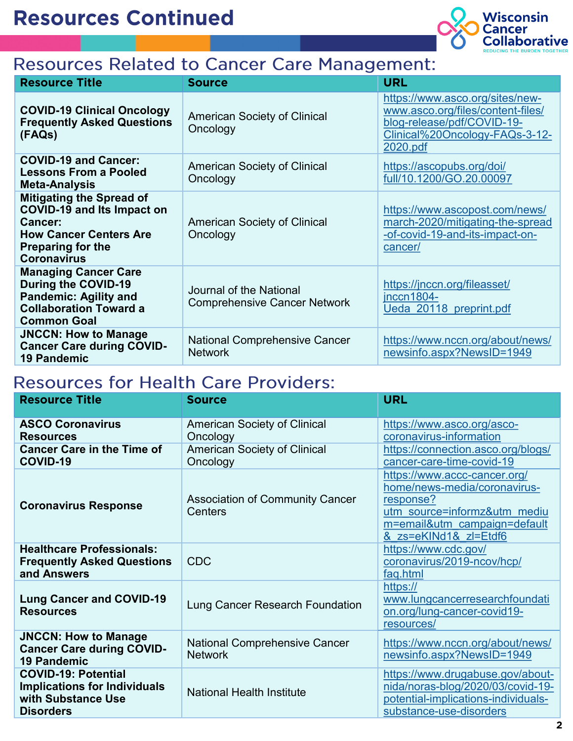

## **Resources Related to Cancer Care Management:**

| <b>Resource Title</b>                                                                                                                                              | <b>Source</b>                                                  | <b>URL</b>                                                                                                                                       |
|--------------------------------------------------------------------------------------------------------------------------------------------------------------------|----------------------------------------------------------------|--------------------------------------------------------------------------------------------------------------------------------------------------|
| <b>COVID-19 Clinical Oncology</b><br><b>Frequently Asked Questions</b><br>(FAQs)                                                                                   | <b>American Society of Clinical</b><br>Oncology                | https://www.asco.org/sites/new-<br>www.asco.org/files/content-files/<br>blog-release/pdf/COVID-19-<br>Clinical%20Oncology-FAQs-3-12-<br>2020.pdf |
| <b>COVID-19 and Cancer:</b><br><b>Lessons From a Pooled</b><br><b>Meta-Analysis</b>                                                                                | <b>American Society of Clinical</b><br>Oncology                | https://ascopubs.org/doi/<br>full/10.1200/GO.20.00097                                                                                            |
| <b>Mitigating the Spread of</b><br><b>COVID-19 and Its Impact on</b><br>Cancer:<br><b>How Cancer Centers Are</b><br><b>Preparing for the</b><br><b>Coronavirus</b> | <b>American Society of Clinical</b><br>Oncology                | https://www.ascopost.com/news/<br>march-2020/mitigating-the-spread<br>-of-covid-19-and-its-impact-on-<br>cancer/                                 |
| <b>Managing Cancer Care</b><br><b>During the COVID-19</b><br><b>Pandemic: Agility and</b><br><b>Collaboration Toward a</b><br><b>Common Goal</b>                   | Journal of the National<br><b>Comprehensive Cancer Network</b> | https://jnccn.org/fileasset/<br>$inccn1804-$<br>Ueda 20118 preprint.pdf                                                                          |
| <b>JNCCN: How to Manage</b><br><b>Cancer Care during COVID-</b><br><b>19 Pandemic</b>                                                                              | <b>National Comprehensive Cancer</b><br><b>Network</b>         | https://www.nccn.org/about/news/<br>newsinfo.aspx?NewsID=1949                                                                                    |

### **Resources for Health Care Providers:**

| <b>Resource Title</b>                                                                                       | <b>Source</b>                                          | <b>URL</b>                                                                                                                                                         |
|-------------------------------------------------------------------------------------------------------------|--------------------------------------------------------|--------------------------------------------------------------------------------------------------------------------------------------------------------------------|
| <b>ASCO Coronavirus</b><br><b>Resources</b>                                                                 | <b>American Society of Clinical</b><br>Oncology        | https://www.asco.org/asco-<br>coronavirus-information                                                                                                              |
| <b>Cancer Care in the Time of</b><br>COVID-19                                                               | <b>American Society of Clinical</b><br>Oncology        | https://connection.asco.org/blogs/<br>cancer-care-time-covid-19                                                                                                    |
| <b>Coronavirus Response</b>                                                                                 | <b>Association of Community Cancer</b><br>Centers      | https://www.accc-cancer.org/<br>home/news-media/coronavirus-<br>response?<br>utm source=informz&utm mediu<br>m=email&utm_campaign=default<br>& zs=eKINd1& zl=Etdf6 |
| <b>Healthcare Professionals:</b><br><b>Frequently Asked Questions</b><br>and Answers                        | <b>CDC</b>                                             | https://www.cdc.gov/<br>coronavirus/2019-ncov/hcp/<br>faq.html                                                                                                     |
| <b>Lung Cancer and COVID-19</b><br><b>Resources</b>                                                         | Lung Cancer Research Foundation                        | https://<br>www.lungcancerresearchfoundati<br>on.org/lung-cancer-covid19-<br>resources/                                                                            |
| <b>JNCCN: How to Manage</b><br><b>Cancer Care during COVID-</b><br><b>19 Pandemic</b>                       | <b>National Comprehensive Cancer</b><br><b>Network</b> | https://www.nccn.org/about/news/<br>newsinfo.aspx?NewsID=1949                                                                                                      |
| <b>COVID-19: Potential</b><br><b>Implications for Individuals</b><br>with Substance Use<br><b>Disorders</b> | <b>National Health Institute</b>                       | https://www.drugabuse.gov/about-<br>nida/noras-blog/2020/03/covid-19-<br>potential-implications-individuals-<br>substance-use-disorders                            |